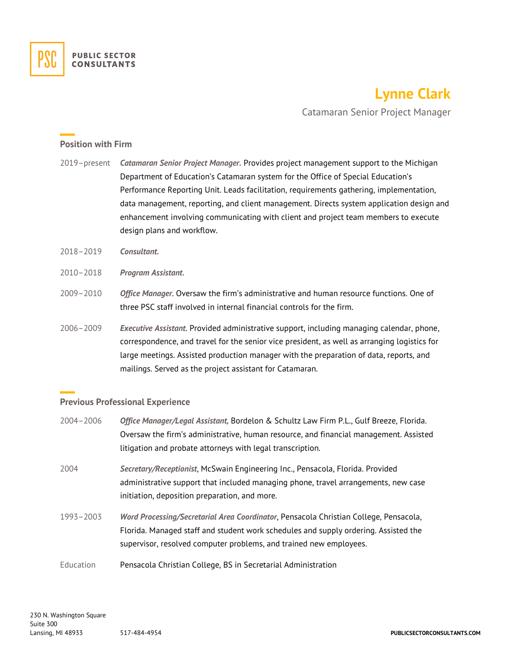

# **Lynne Clark**

Catamaran Senior Project Manager

#### **Position with Firm**

- 2019–present *Catamaran Senior Project Manager.* Provides project management support to the Michigan Department of Education's Catamaran system for the Office of Special Education's Performance Reporting Unit. Leads facilitation, requirements gathering, implementation, data management, reporting, and client management. Directs system application design and enhancement involving communicating with client and project team members to execute design plans and workflow.
- 2018–2019 *Consultant.*
- 2010–2018 *Program Assistant.*
- 2009–2010 *Office Manager*. Oversaw the firm's administrative and human resource functions. One of three PSC staff involved in internal financial controls for the firm.
- 2006–2009 *Executive Assistant*. Provided administrative support, including managing calendar, phone, correspondence, and travel for the senior vice president, as well as arranging logistics for large meetings. Assisted production manager with the preparation of data, reports, and mailings. Served as the project assistant for Catamaran.

### **Previous Professional Experience**

| $2004 - 2006$ | Office Manager/Legal Assistant, Bordelon & Schultz Law Firm P.L., Gulf Breeze, Florida.<br>Oversaw the firm's administrative, human resource, and financial management. Assisted |
|---------------|----------------------------------------------------------------------------------------------------------------------------------------------------------------------------------|
|               | litigation and probate attorneys with legal transcription.                                                                                                                       |
| 2004          | Secretary/Receptionist, McSwain Engineering Inc., Pensacola, Florida. Provided                                                                                                   |
|               | administrative support that included managing phone, travel arrangements, new case                                                                                               |
|               | initiation, deposition preparation, and more.                                                                                                                                    |
| $1993 - 2003$ | Word Processing/Secretarial Area Coordinator, Pensacola Christian College, Pensacola,                                                                                            |
|               | Florida. Managed staff and student work schedules and supply ordering. Assisted the                                                                                              |
|               | supervisor, resolved computer problems, and trained new employees.                                                                                                               |
| Education     | Pensacola Christian College, BS in Secretarial Administration                                                                                                                    |